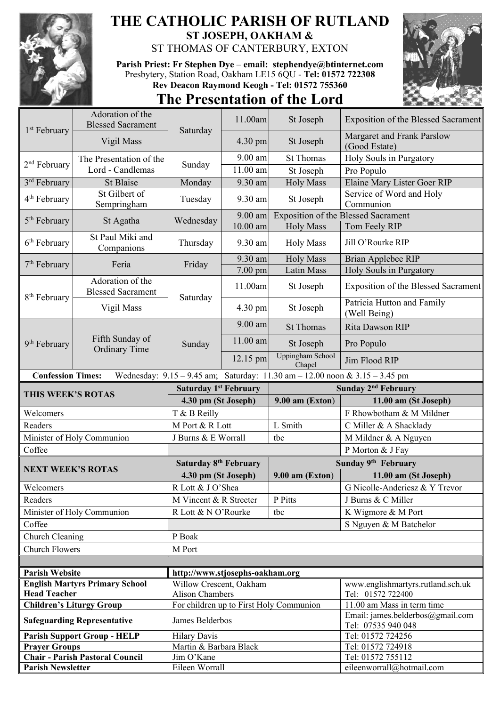

## **THE CATHOLIC PARISH OF RUTLAND ST JOSEPH, OAKHAM &**  ST THOMAS OF CANTERBURY, EXTON

**Parish Priest: Fr Stephen Dye** – **[email: stephendye@btinternet.com](mailto:email:%20%20stephendye@btinternet.com)** Presbytery, Station Road, Oakham LE15 6QU - **Tel: 01572 722308 Rev Deacon Raymond Keogh - Tel: 01572 755360**

## **The Presentation of the Lord**



| 1 <sup>st</sup> February                                                                                             | Adoration of the<br><b>Blessed Sacrament</b>                          | Saturday                                      | 11.00am                                                                                                                                                                                                                                                                                                                       | St Joseph                               | Exposition of the Blessed Sacrament                            |
|----------------------------------------------------------------------------------------------------------------------|-----------------------------------------------------------------------|-----------------------------------------------|-------------------------------------------------------------------------------------------------------------------------------------------------------------------------------------------------------------------------------------------------------------------------------------------------------------------------------|-----------------------------------------|----------------------------------------------------------------|
|                                                                                                                      | Vigil Mass                                                            |                                               | 4.30 pm                                                                                                                                                                                                                                                                                                                       | St Joseph                               | Margaret and Frank Parslow<br>(Good Estate)                    |
|                                                                                                                      | The Presentation of the                                               |                                               | 9.00 am<br>Sunday<br>11.00 am<br>St Joseph<br>9.30 am<br>9.30 am<br>9.00 am<br>10.00 am<br><b>Holy Mass</b><br>9.30 am<br>9.30 am<br>Latin Mass<br>$7.00$ pm<br>11.00am<br>St Joseph<br>4.30 pm<br>St Joseph<br>9.00 am<br>11.00 am<br>St Joseph<br>12.15 pm<br>Chapel<br><b>Saturday 1st February</b><br>4.30 pm (St Joseph) | <b>St Thomas</b>                        | Holy Souls in Purgatory                                        |
| 2 <sup>nd</sup> February<br>3 <sup>rd</sup> February<br>$4th$ February<br>5 <sup>th</sup> February<br>$6th$ February | Lord - Candlemas                                                      |                                               |                                                                                                                                                                                                                                                                                                                               |                                         | Pro Populo                                                     |
|                                                                                                                      | St Blaise                                                             | Monday                                        |                                                                                                                                                                                                                                                                                                                               | <b>Holy Mass</b>                        | Elaine Mary Lister Goer RIP                                    |
|                                                                                                                      | St Gilbert of<br>Sempringham                                          | Tuesday                                       |                                                                                                                                                                                                                                                                                                                               | St Joseph                               | Service of Word and Holy<br>Communion                          |
|                                                                                                                      | St Agatha                                                             | Wednesday                                     |                                                                                                                                                                                                                                                                                                                               |                                         | <b>Exposition of the Blessed Sacrament</b>                     |
|                                                                                                                      |                                                                       |                                               |                                                                                                                                                                                                                                                                                                                               |                                         | Tom Feely RIP                                                  |
|                                                                                                                      | St Paul Miki and<br>Companions                                        | Thursday                                      |                                                                                                                                                                                                                                                                                                                               | <b>Holy Mass</b>                        | Jill O'Rourke RIP                                              |
| 7 <sup>th</sup> February                                                                                             | Feria                                                                 | Friday                                        |                                                                                                                                                                                                                                                                                                                               | <b>Holy Mass</b>                        | <b>Brian Applebee RIP</b>                                      |
|                                                                                                                      |                                                                       |                                               |                                                                                                                                                                                                                                                                                                                               |                                         | Holy Souls in Purgatory                                        |
| 8 <sup>th</sup> February                                                                                             | Adoration of the<br><b>Blessed Sacrament</b>                          | Saturday                                      |                                                                                                                                                                                                                                                                                                                               |                                         | <b>Exposition of the Blessed Sacrament</b>                     |
|                                                                                                                      | Vigil Mass                                                            |                                               |                                                                                                                                                                                                                                                                                                                               |                                         | Patricia Hutton and Family<br>(Well Being)                     |
|                                                                                                                      | Fifth Sunday of<br><b>Ordinary Time</b>                               | Sunday                                        |                                                                                                                                                                                                                                                                                                                               | <b>St Thomas</b>                        | Rita Dawson RIP                                                |
| 9 <sup>th</sup> February                                                                                             |                                                                       |                                               |                                                                                                                                                                                                                                                                                                                               |                                         | Pro Populo                                                     |
|                                                                                                                      |                                                                       |                                               |                                                                                                                                                                                                                                                                                                                               | Uppingham School                        | Jim Flood RIP                                                  |
| <b>Confession Times:</b><br>Wednesday: $9.15 - 9.45$ am; Saturday: $11.30$ am $- 12.00$ noon & $3.15 - 3.45$ pm      |                                                                       |                                               |                                                                                                                                                                                                                                                                                                                               |                                         |                                                                |
| THIS WEEK'S ROTAS                                                                                                    |                                                                       |                                               |                                                                                                                                                                                                                                                                                                                               |                                         | Sunday 2 <sup>nd</sup> February                                |
|                                                                                                                      |                                                                       |                                               |                                                                                                                                                                                                                                                                                                                               | $9.00$ am (Exton)                       | 11.00 am (St Joseph)                                           |
| Welcomers                                                                                                            |                                                                       | T & B Reilly                                  |                                                                                                                                                                                                                                                                                                                               |                                         | F Rhowbotham & M Mildner                                       |
| Readers                                                                                                              |                                                                       | M Port & R Lott                               |                                                                                                                                                                                                                                                                                                                               | L Smith                                 | C Miller & A Shacklady                                         |
| Minister of Holy Communion                                                                                           |                                                                       | J Burns & E Worrall                           |                                                                                                                                                                                                                                                                                                                               | tbc                                     | M Mildner & A Nguyen                                           |
| Coffee                                                                                                               |                                                                       |                                               |                                                                                                                                                                                                                                                                                                                               |                                         | P Morton & J Fay                                               |
| <b>NEXT WEEK'S ROTAS</b>                                                                                             |                                                                       |                                               |                                                                                                                                                                                                                                                                                                                               |                                         |                                                                |
|                                                                                                                      |                                                                       | Saturday 8 <sup>th</sup> February             |                                                                                                                                                                                                                                                                                                                               |                                         | Sunday 9 <sup>th</sup> February                                |
|                                                                                                                      |                                                                       | 4.30 pm (St Joseph)                           |                                                                                                                                                                                                                                                                                                                               | $9.00$ am (Exton)                       | 11.00 am (St Joseph)                                           |
| Welcomers                                                                                                            |                                                                       | R Lott & J O'Shea                             |                                                                                                                                                                                                                                                                                                                               |                                         | G Nicolle-Anderiesz & Y Trevor                                 |
| Readers                                                                                                              |                                                                       | M Vincent & R Streeter                        |                                                                                                                                                                                                                                                                                                                               | P Pitts                                 | J Burns & C Miller                                             |
|                                                                                                                      | Minister of Holy Communion                                            | R Lott & N O'Rourke                           |                                                                                                                                                                                                                                                                                                                               | tbc                                     | K Wigmore & M Port                                             |
| Coffee                                                                                                               |                                                                       |                                               |                                                                                                                                                                                                                                                                                                                               |                                         | S Nguyen & M Batchelor                                         |
| Church Cleaning                                                                                                      |                                                                       | P Boak                                        |                                                                                                                                                                                                                                                                                                                               |                                         |                                                                |
| <b>Church Flowers</b>                                                                                                |                                                                       | M Port                                        |                                                                                                                                                                                                                                                                                                                               |                                         |                                                                |
|                                                                                                                      |                                                                       |                                               |                                                                                                                                                                                                                                                                                                                               |                                         |                                                                |
| <b>Parish Website</b>                                                                                                |                                                                       | http://www.stjosephs-oakham.org               |                                                                                                                                                                                                                                                                                                                               |                                         |                                                                |
|                                                                                                                      | <b>English Martyrs Primary School</b>                                 | Willow Crescent, Oakham                       |                                                                                                                                                                                                                                                                                                                               |                                         | www.englishmartyrs.rutland.sch.uk                              |
| <b>Head Teacher</b>                                                                                                  |                                                                       | Alison Chambers                               |                                                                                                                                                                                                                                                                                                                               |                                         | Tel: 01572 722400                                              |
|                                                                                                                      | <b>Children's Liturgy Group</b><br><b>Safeguarding Representative</b> | James Belderbos                               |                                                                                                                                                                                                                                                                                                                               | For children up to First Holy Communion | 11.00 am Mass in term time<br>Email: james.belderbos@gmail.com |
|                                                                                                                      |                                                                       |                                               |                                                                                                                                                                                                                                                                                                                               |                                         | Tel: 07535 940 048                                             |
| <b>Prayer Groups</b>                                                                                                 | <b>Parish Support Group - HELP</b>                                    | <b>Hilary Davis</b><br>Martin & Barbara Black |                                                                                                                                                                                                                                                                                                                               |                                         | Tel: 01572 724256<br>Tel: 01572 724918                         |
|                                                                                                                      | <b>Chair - Parish Pastoral Council</b>                                | Jim O'Kane                                    |                                                                                                                                                                                                                                                                                                                               |                                         | Tel: 01572 755112                                              |